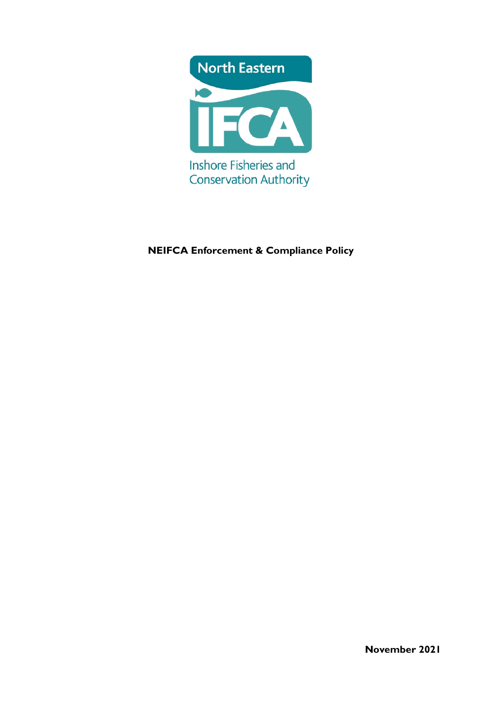

# **NEIFCA Enforcement & Compliance Policy**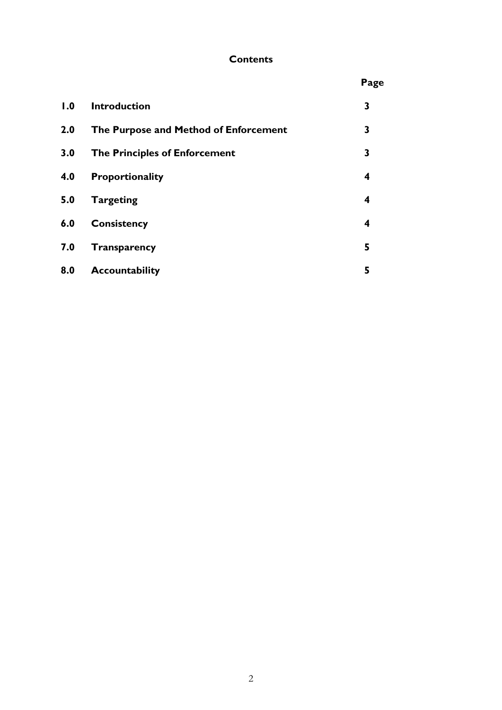# **Contents**

|     |                                       | Page                    |
|-----|---------------------------------------|-------------------------|
| 1.0 | <b>Introduction</b>                   | 3                       |
| 2.0 | The Purpose and Method of Enforcement | 3                       |
| 3.0 | <b>The Principles of Enforcement</b>  | 3                       |
| 4.0 | <b>Proportionality</b>                | $\overline{\mathbf{4}}$ |
| 5.0 | <b>Targeting</b>                      | 4                       |
| 6.0 | Consistency                           | 4                       |
| 7.0 | <b>Transparency</b>                   | 5                       |
| 8.0 | <b>Accountability</b>                 | 5                       |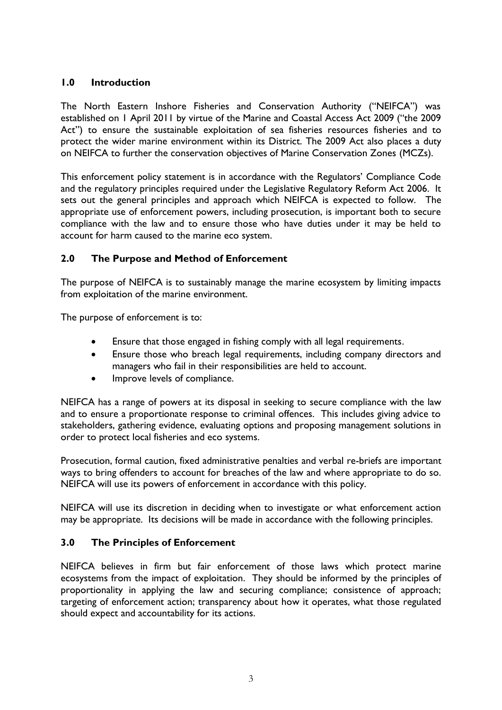### **1.0 Introduction**

The North Eastern Inshore Fisheries and Conservation Authority ("NEIFCA") was established on 1 April 2011 by virtue of the Marine and Coastal Access Act 2009 ("the 2009 Act") to ensure the sustainable exploitation of sea fisheries resources fisheries and to protect the wider marine environment within its District. The 2009 Act also places a duty on NEIFCA to further the conservation objectives of Marine Conservation Zones (MCZs).

This enforcement policy statement is in accordance with the Regulators' Compliance Code and the regulatory principles required under the Legislative Regulatory Reform Act 2006. It sets out the general principles and approach which NEIFCA is expected to follow. The appropriate use of enforcement powers, including prosecution, is important both to secure compliance with the law and to ensure those who have duties under it may be held to account for harm caused to the marine eco system.

## **2.0 The Purpose and Method of Enforcement**

The purpose of NEIFCA is to sustainably manage the marine ecosystem by limiting impacts from exploitation of the marine environment.

The purpose of enforcement is to:

- Ensure that those engaged in fishing comply with all legal requirements.
- Ensure those who breach legal requirements, including company directors and managers who fail in their responsibilities are held to account.
- Improve levels of compliance.

NEIFCA has a range of powers at its disposal in seeking to secure compliance with the law and to ensure a proportionate response to criminal offences. This includes giving advice to stakeholders, gathering evidence, evaluating options and proposing management solutions in order to protect local fisheries and eco systems.

Prosecution, formal caution, fixed administrative penalties and verbal re-briefs are important ways to bring offenders to account for breaches of the law and where appropriate to do so. NEIFCA will use its powers of enforcement in accordance with this policy.

NEIFCA will use its discretion in deciding when to investigate or what enforcement action may be appropriate. Its decisions will be made in accordance with the following principles.

## **3.0 The Principles of Enforcement**

NEIFCA believes in firm but fair enforcement of those laws which protect marine ecosystems from the impact of exploitation. They should be informed by the principles of proportionality in applying the law and securing compliance; consistence of approach; targeting of enforcement action; transparency about how it operates, what those regulated should expect and accountability for its actions.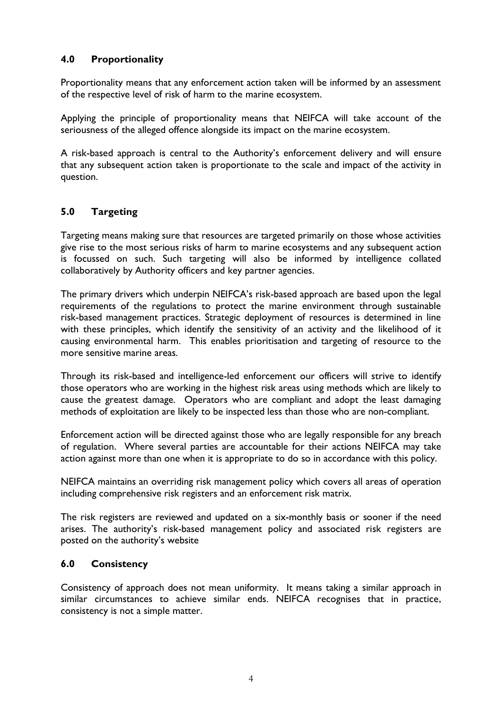### **4.0 Proportionality**

Proportionality means that any enforcement action taken will be informed by an assessment of the respective level of risk of harm to the marine ecosystem.

Applying the principle of proportionality means that NEIFCA will take account of the seriousness of the alleged offence alongside its impact on the marine ecosystem.

A risk-based approach is central to the Authority's enforcement delivery and will ensure that any subsequent action taken is proportionate to the scale and impact of the activity in question.

## **5.0 Targeting**

Targeting means making sure that resources are targeted primarily on those whose activities give rise to the most serious risks of harm to marine ecosystems and any subsequent action is focussed on such. Such targeting will also be informed by intelligence collated collaboratively by Authority officers and key partner agencies.

The primary drivers which underpin NEIFCA's risk-based approach are based upon the legal requirements of the regulations to protect the marine environment through sustainable risk-based management practices. Strategic deployment of resources is determined in line with these principles, which identify the sensitivity of an activity and the likelihood of it causing environmental harm. This enables prioritisation and targeting of resource to the more sensitive marine areas.

Through its risk-based and intelligence-led enforcement our officers will strive to identify those operators who are working in the highest risk areas using methods which are likely to cause the greatest damage. Operators who are compliant and adopt the least damaging methods of exploitation are likely to be inspected less than those who are non-compliant.

Enforcement action will be directed against those who are legally responsible for any breach of regulation. Where several parties are accountable for their actions NEIFCA may take action against more than one when it is appropriate to do so in accordance with this policy.

NEIFCA maintains an overriding risk management policy which covers all areas of operation including comprehensive risk registers and an enforcement risk matrix.

The risk registers are reviewed and updated on a six-monthly basis or sooner if the need arises. The authority's risk-based management policy and associated risk registers are posted on the authority's website

#### **6.0 Consistency**

Consistency of approach does not mean uniformity. It means taking a similar approach in similar circumstances to achieve similar ends. NEIFCA recognises that in practice, consistency is not a simple matter.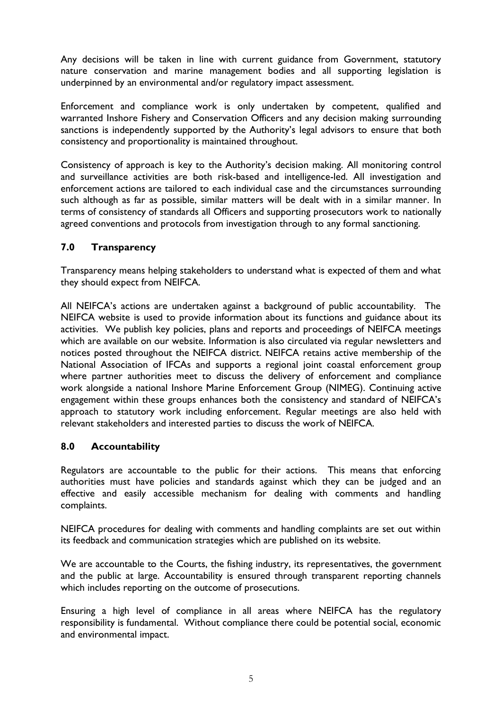Any decisions will be taken in line with current guidance from Government, statutory nature conservation and marine management bodies and all supporting legislation is underpinned by an environmental and/or regulatory impact assessment.

Enforcement and compliance work is only undertaken by competent, qualified and warranted Inshore Fishery and Conservation Officers and any decision making surrounding sanctions is independently supported by the Authority's legal advisors to ensure that both consistency and proportionality is maintained throughout.

Consistency of approach is key to the Authority's decision making. All monitoring control and surveillance activities are both risk-based and intelligence-led. All investigation and enforcement actions are tailored to each individual case and the circumstances surrounding such although as far as possible, similar matters will be dealt with in a similar manner. In terms of consistency of standards all Officers and supporting prosecutors work to nationally agreed conventions and protocols from investigation through to any formal sanctioning.

### **7.0 Transparency**

Transparency means helping stakeholders to understand what is expected of them and what they should expect from NEIFCA.

All NEIFCA's actions are undertaken against a background of public accountability. The NEIFCA website is used to provide information about its functions and guidance about its activities. We publish key policies, plans and reports and proceedings of NEIFCA meetings which are available on our website. Information is also circulated via regular newsletters and notices posted throughout the NEIFCA district. NEIFCA retains active membership of the National Association of IFCAs and supports a regional joint coastal enforcement group where partner authorities meet to discuss the delivery of enforcement and compliance work alongside a national Inshore Marine Enforcement Group (NIMEG). Continuing active engagement within these groups enhances both the consistency and standard of NEIFCA's approach to statutory work including enforcement. Regular meetings are also held with relevant stakeholders and interested parties to discuss the work of NEIFCA.

#### **8.0 Accountability**

Regulators are accountable to the public for their actions. This means that enforcing authorities must have policies and standards against which they can be judged and an effective and easily accessible mechanism for dealing with comments and handling complaints.

NEIFCA procedures for dealing with comments and handling complaints are set out within its feedback and communication strategies which are published on its website.

We are accountable to the Courts, the fishing industry, its representatives, the government and the public at large. Accountability is ensured through transparent reporting channels which includes reporting on the outcome of prosecutions.

Ensuring a high level of compliance in all areas where NEIFCA has the regulatory responsibility is fundamental. Without compliance there could be potential social, economic and environmental impact.